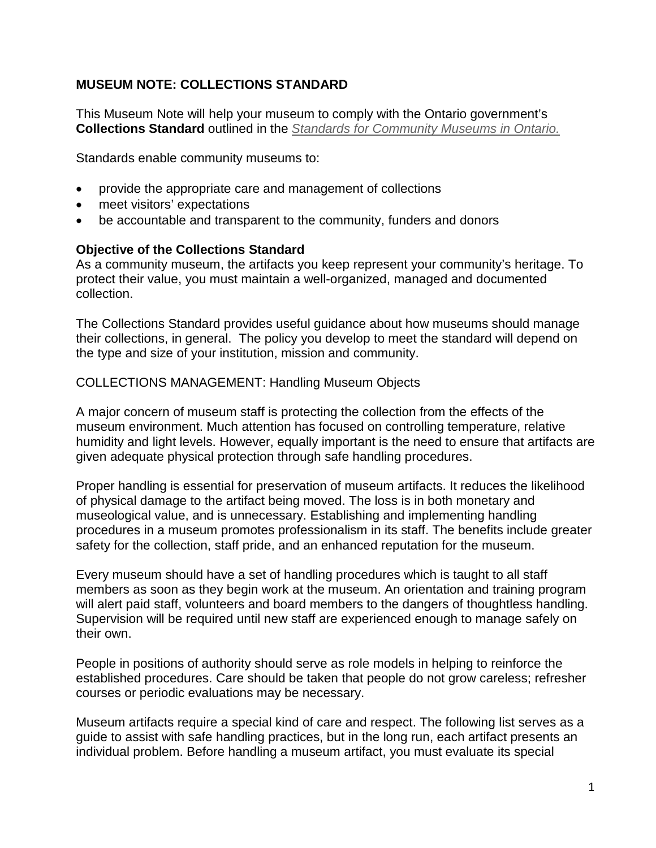## **MUSEUM NOTE: COLLECTIONS STANDARD**

This Museum Note will help your museum to comply with the Ontario government's **Collections Standard** outlined in the *[Standards for Community Museums in Ontario.](http://www.mtc.gov.on.ca/en/museums/museums_standards.shtml)*

Standards enable community museums to:

- provide the appropriate care and management of collections
- meet visitors' expectations
- be accountable and transparent to the community, funders and donors

#### **Objective of the Collections Standard**

As a community museum, the artifacts you keep represent your community's heritage. To protect their value, you must maintain a well-organized, managed and documented collection.

The Collections Standard provides useful guidance about how museums should manage their collections, in general. The policy you develop to meet the standard will depend on the type and size of your institution, mission and community.

#### COLLECTIONS MANAGEMENT: Handling Museum Objects

A major concern of museum staff is protecting the collection from the effects of the museum environment. Much attention has focused on controlling temperature, relative humidity and light levels. However, equally important is the need to ensure that artifacts are given adequate physical protection through safe handling procedures.

Proper handling is essential for preservation of museum artifacts. It reduces the likelihood of physical damage to the artifact being moved. The loss is in both monetary and museological value, and is unnecessary. Establishing and implementing handling procedures in a museum promotes professionalism in its staff. The benefits include greater safety for the collection, staff pride, and an enhanced reputation for the museum.

Every museum should have a set of handling procedures which is taught to all staff members as soon as they begin work at the museum. An orientation and training program will alert paid staff, volunteers and board members to the dangers of thoughtless handling. Supervision will be required until new staff are experienced enough to manage safely on their own.

People in positions of authority should serve as role models in helping to reinforce the established procedures. Care should be taken that people do not grow careless; refresher courses or periodic evaluations may be necessary.

Museum artifacts require a special kind of care and respect. The following list serves as a guide to assist with safe handling practices, but in the long run, each artifact presents an individual problem. Before handling a museum artifact, you must evaluate its special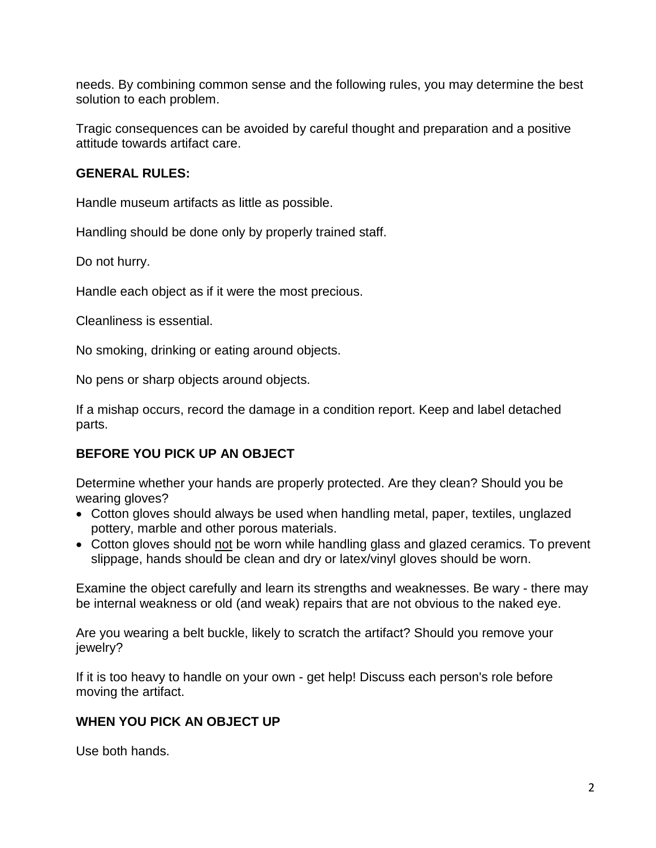needs. By combining common sense and the following rules, you may determine the best solution to each problem.

Tragic consequences can be avoided by careful thought and preparation and a positive attitude towards artifact care.

#### **GENERAL RULES:**

Handle museum artifacts as little as possible.

Handling should be done only by properly trained staff.

Do not hurry.

Handle each object as if it were the most precious.

Cleanliness is essential.

No smoking, drinking or eating around objects.

No pens or sharp objects around objects.

If a mishap occurs, record the damage in a condition report. Keep and label detached parts.

# **BEFORE YOU PICK UP AN OBJECT**

Determine whether your hands are properly protected. Are they clean? Should you be wearing gloves?

- Cotton gloves should always be used when handling metal, paper, textiles, unglazed pottery, marble and other porous materials.
- Cotton gloves should not be worn while handling glass and glazed ceramics. To prevent slippage, hands should be clean and dry or latex/vinyl gloves should be worn.

Examine the object carefully and learn its strengths and weaknesses. Be wary - there may be internal weakness or old (and weak) repairs that are not obvious to the naked eye.

Are you wearing a belt buckle, likely to scratch the artifact? Should you remove your jewelry?

If it is too heavy to handle on your own - get help! Discuss each person's role before moving the artifact.

### **WHEN YOU PICK AN OBJECT UP**

Use both hands.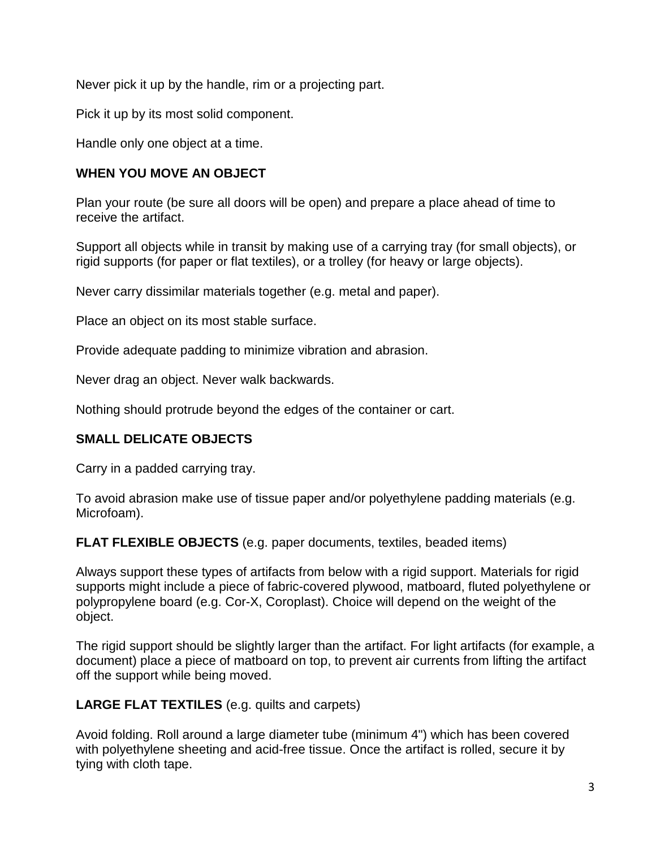Never pick it up by the handle, rim or a projecting part.

Pick it up by its most solid component.

Handle only one object at a time.

### **WHEN YOU MOVE AN OBJECT**

Plan your route (be sure all doors will be open) and prepare a place ahead of time to receive the artifact.

Support all objects while in transit by making use of a carrying tray (for small objects), or rigid supports (for paper or flat textiles), or a trolley (for heavy or large objects).

Never carry dissimilar materials together (e.g. metal and paper).

Place an object on its most stable surface.

Provide adequate padding to minimize vibration and abrasion.

Never drag an object. Never walk backwards.

Nothing should protrude beyond the edges of the container or cart.

# **SMALL DELICATE OBJECTS**

Carry in a padded carrying tray.

To avoid abrasion make use of tissue paper and/or polyethylene padding materials (e.g. Microfoam).

**FLAT FLEXIBLE OBJECTS** (e.g. paper documents, textiles, beaded items)

Always support these types of artifacts from below with a rigid support. Materials for rigid supports might include a piece of fabric-covered plywood, matboard, fluted polyethylene or polypropylene board (e.g. Cor-X, Coroplast). Choice will depend on the weight of the object.

The rigid support should be slightly larger than the artifact. For light artifacts (for example, a document) place a piece of matboard on top, to prevent air currents from lifting the artifact off the support while being moved.

**LARGE FLAT TEXTILES** (e.g. quilts and carpets)

Avoid folding. Roll around a large diameter tube (minimum 4") which has been covered with polyethylene sheeting and acid-free tissue. Once the artifact is rolled, secure it by tying with cloth tape.